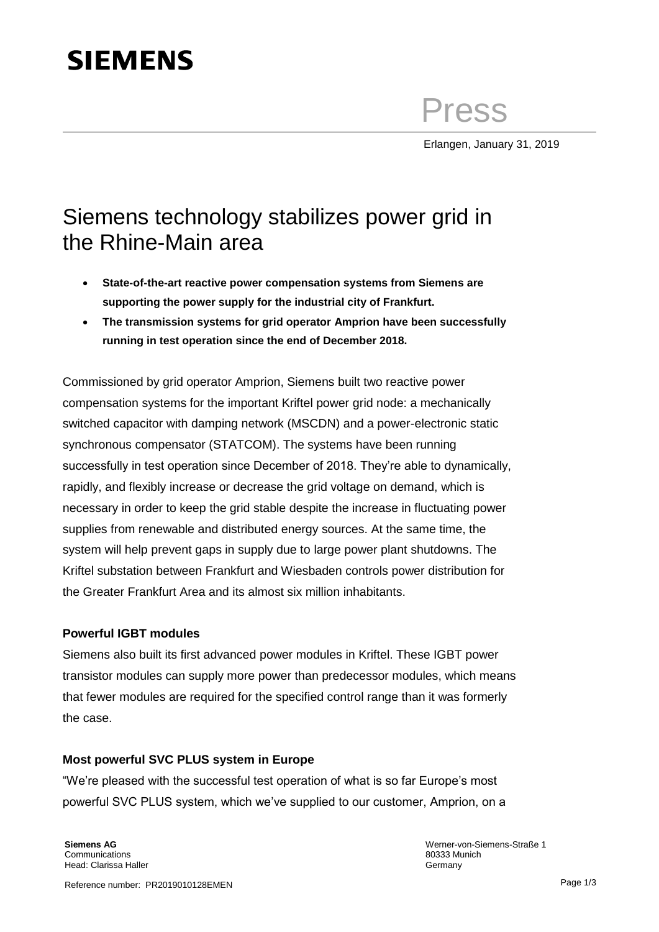# **SIEMENS**

Press

Erlangen, January 31, 2019

## Siemens technology stabilizes power grid in the Rhine-Main area

- **State-of-the-art reactive power compensation systems from Siemens are supporting the power supply for the industrial city of Frankfurt.**
- **The transmission systems for grid operator Amprion have been successfully running in test operation since the end of December 2018.**

Commissioned by grid operator Amprion, Siemens built two reactive power compensation systems for the important Kriftel power grid node: a mechanically switched capacitor with damping network (MSCDN) and a power-electronic static synchronous compensator (STATCOM). The systems have been running successfully in test operation since December of 2018. They're able to dynamically, rapidly, and flexibly increase or decrease the grid voltage on demand, which is necessary in order to keep the grid stable despite the increase in fluctuating power supplies from renewable and distributed energy sources. At the same time, the system will help prevent gaps in supply due to large power plant shutdowns. The Kriftel substation between Frankfurt and Wiesbaden controls power distribution for the Greater Frankfurt Area and its almost six million inhabitants.

### **Powerful IGBT modules**

Siemens also built its first advanced power modules in Kriftel. These IGBT power transistor modules can supply more power than predecessor modules, which means that fewer modules are required for the specified control range than it was formerly the case.

#### **Most powerful SVC PLUS system in Europe**

"We're pleased with the successful test operation of what is so far Europe's most powerful SVC PLUS system, which we've supplied to our customer, Amprion, on a

**Siemens AG Communications** Head: Clarissa Haller Werner-von-Siemens-Straße 1 80333 Munich **Germany**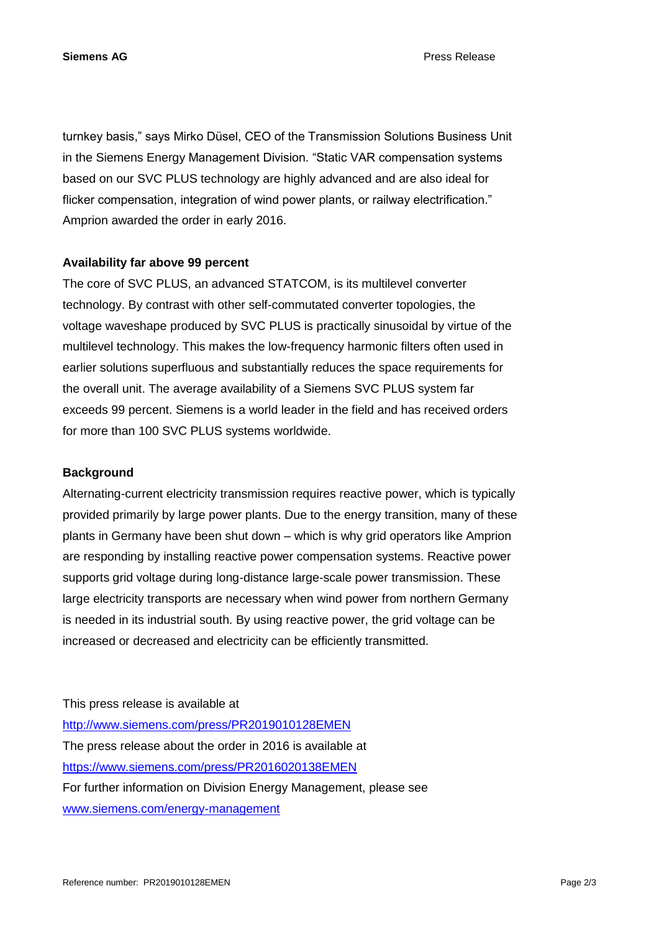**Siemens AG** Press Release

turnkey basis," says Mirko Düsel, CEO of the Transmission Solutions Business Unit in the Siemens Energy Management Division. "Static VAR compensation systems based on our SVC PLUS technology are highly advanced and are also ideal for flicker compensation, integration of wind power plants, or railway electrification." Amprion awarded the order in early 2016.

#### **Availability far above 99 percent**

The core of SVC PLUS, an advanced STATCOM, is its multilevel converter technology. By contrast with other self-commutated converter topologies, the voltage waveshape produced by SVC PLUS is practically sinusoidal by virtue of the multilevel technology. This makes the low-frequency harmonic filters often used in earlier solutions superfluous and substantially reduces the space requirements for the overall unit. The average availability of a Siemens SVC PLUS system far exceeds 99 percent. Siemens is a world leader in the field and has received orders for more than 100 SVC PLUS systems worldwide.

#### **Background**

Alternating-current electricity transmission requires reactive power, which is typically provided primarily by large power plants. Due to the energy transition, many of these plants in Germany have been shut down – which is why grid operators like Amprion are responding by installing reactive power compensation systems. Reactive power supports grid voltage during long-distance large-scale power transmission. These large electricity transports are necessary when wind power from northern Germany is needed in its industrial south. By using reactive power, the grid voltage can be increased or decreased and electricity can be efficiently transmitted.

This press release is available at

<http://www.siemens.com/press/PR2019010128EMEN> The press release about the order in 2016 is available at <https://www.siemens.com/press/PR2016020138EMEN> For further information on Division Energy Management, please see [www.siemens.com/energy-management](http://www.siemens.com/energy-management)